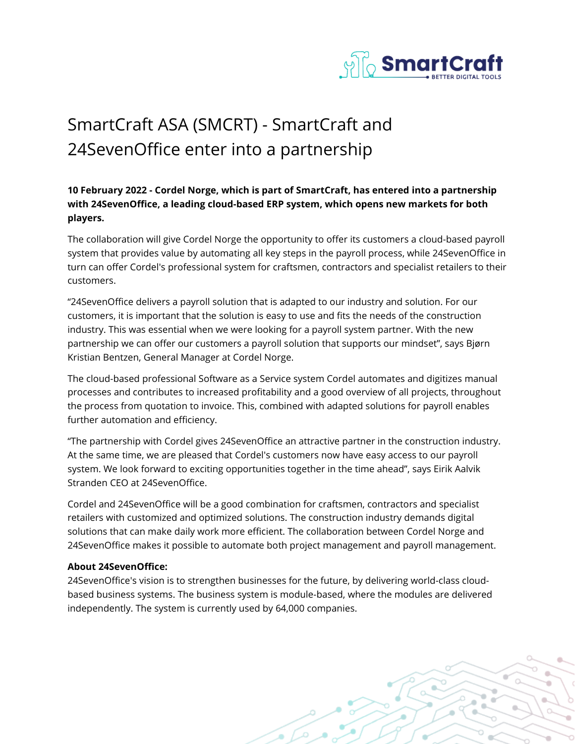

# SmartCraft ASA (SMCRT) - SmartCraft and 24SevenOffice enter into a partnership

# **10 February 2022 - Cordel Norge, which is part of SmartCraft, has entered into a partnership with 24SevenOffice, a leading cloud-based ERP system, which opens new markets for both players.**

The collaboration will give Cordel Norge the opportunity to offer its customers a cloud-based payroll system that provides value by automating all key steps in the payroll process, while 24SevenOffice in turn can offer Cordel's professional system for craftsmen, contractors and specialist retailers to their customers.

"24SevenOffice delivers a payroll solution that is adapted to our industry and solution. For our customers, it is important that the solution is easy to use and fits the needs of the construction industry. This was essential when we were looking for a payroll system partner. With the new partnership we can offer our customers a payroll solution that supports our mindset", says Bjørn Kristian Bentzen, General Manager at Cordel Norge.

The cloud-based professional Software as a Service system Cordel automates and digitizes manual processes and contributes to increased profitability and a good overview of all projects, throughout the process from quotation to invoice. This, combined with adapted solutions for payroll enables further automation and efficiency.

"The partnership with Cordel gives 24SevenOffice an attractive partner in the construction industry. At the same time, we are pleased that Cordel's customers now have easy access to our payroll system. We look forward to exciting opportunities together in the time ahead", says Eirik Aalvik Stranden CEO at 24SevenOffice.

Cordel and 24SevenOffice will be a good combination for craftsmen, contractors and specialist retailers with customized and optimized solutions. The construction industry demands digital solutions that can make daily work more efficient. The collaboration between Cordel Norge and 24SevenOffice makes it possible to automate both project management and payroll management.

## **About 24SevenOffice:**

24SevenOffice's vision is to strengthen businesses for the future, by delivering world-class cloudbased business systems. The business system is module-based, where the modules are delivered independently. The system is currently used by 64,000 companies.